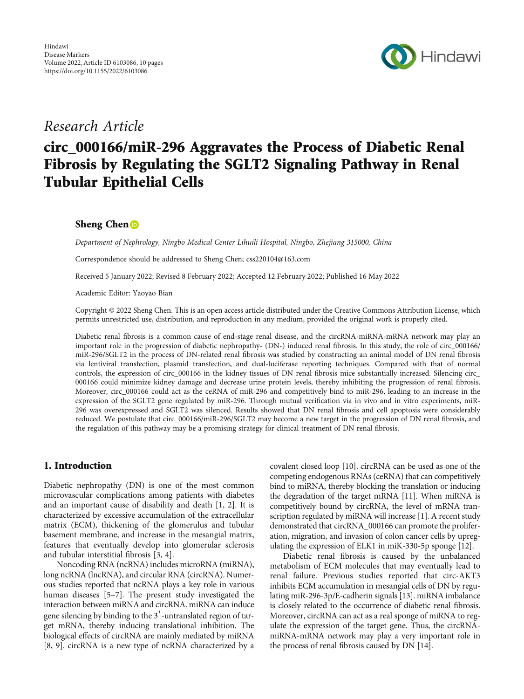

## Research Article

# circ\_000166/miR-296 Aggravates the Process of Diabetic Renal Fibrosis by Regulating the SGLT2 Signaling Pathway in Renal Tubular Epithelial Cells

## Sheng Chen<sup>D</sup>

Department of Nephrology, Ningbo Medical Center Lihuili Hospital, Ningbo, Zhejiang 315000, China

Correspondence should be addressed to Sheng Chen; css220104@163.com

Received 5 January 2022; Revised 8 February 2022; Accepted 12 February 2022; Published 16 May 2022

Academic Editor: Yaoyao Bian

Copyright © 2022 Sheng Chen. This is an open access article distributed under the [Creative Commons Attribution License](https://creativecommons.org/licenses/by/4.0/), which permits unrestricted use, distribution, and reproduction in any medium, provided the original work is properly cited.

Diabetic renal fibrosis is a common cause of end-stage renal disease, and the circRNA-miRNA-mRNA network may play an important role in the progression of diabetic nephropathy- (DN-) induced renal fibrosis. In this study, the role of circ\_000166/ miR-296/SGLT2 in the process of DN-related renal fibrosis was studied by constructing an animal model of DN renal fibrosis via lentiviral transfection, plasmid transfection, and dual-luciferase reporting techniques. Compared with that of normal controls, the expression of circ\_000166 in the kidney tissues of DN renal fibrosis mice substantially increased. Silencing circ\_ 000166 could minimize kidney damage and decrease urine protein levels, thereby inhibiting the progression of renal fibrosis. Moreover, circ\_000166 could act as the ceRNA of miR-296 and competitively bind to miR-296, leading to an increase in the expression of the SGLT2 gene regulated by miR-296. Through mutual verification via in vivo and in vitro experiments, miR-296 was overexpressed and SGLT2 was silenced. Results showed that DN renal fibrosis and cell apoptosis were considerably reduced. We postulate that circ\_000166/miR-296/SGLT2 may become a new target in the progression of DN renal fibrosis, and the regulation of this pathway may be a promising strategy for clinical treatment of DN renal fibrosis.

## 1. Introduction

Diabetic nephropathy (DN) is one of the most common microvascular complications among patients with diabetes and an important cause of disability and death [\[1, 2\]](#page-8-0). It is characterized by excessive accumulation of the extracellular matrix (ECM), thickening of the glomerulus and tubular basement membrane, and increase in the mesangial matrix, features that eventually develop into glomerular sclerosis and tubular interstitial fibrosis [[3, 4\]](#page-8-0).

Noncoding RNA (ncRNA) includes microRNA (miRNA), long ncRNA (lncRNA), and circular RNA (circRNA). Numerous studies reported that ncRNA plays a key role in various human diseases [\[5](#page-8-0)–[7\]](#page-8-0). The present study investigated the interaction between miRNA and circRNA. miRNA can induce gene silencing by binding to the  $3'$ -untranslated region of target mRNA, thereby inducing translational inhibition. The biological effects of circRNA are mainly mediated by miRNA [\[8](#page-8-0), [9](#page-9-0)]. circRNA is a new type of ncRNA characterized by a covalent closed loop [\[10](#page-9-0)]. circRNA can be used as one of the competing endogenous RNAs (ceRNA) that can competitively bind to miRNA, thereby blocking the translation or inducing the degradation of the target mRNA [\[11\]](#page-9-0). When miRNA is competitively bound by circRNA, the level of mRNA transcription regulated by miRNA will increase [\[1](#page-8-0)]. A recent study demonstrated that circRNA\_000166 can promote the proliferation, migration, and invasion of colon cancer cells by upregulating the expression of ELK1 in miK-330-5p sponge [[12](#page-9-0)].

Diabetic renal fibrosis is caused by the unbalanced metabolism of ECM molecules that may eventually lead to renal failure. Previous studies reported that circ-AKT3 inhibits ECM accumulation in mesangial cells of DN by regulating miR-296-3p/E-cadherin signals [\[13\]](#page-9-0). miRNA imbalance is closely related to the occurrence of diabetic renal fibrosis. Moreover, circRNA can act as a real sponge of miRNA to regulate the expression of the target gene. Thus, the circRNAmiRNA-mRNA network may play a very important role in the process of renal fibrosis caused by DN [\[14](#page-9-0)].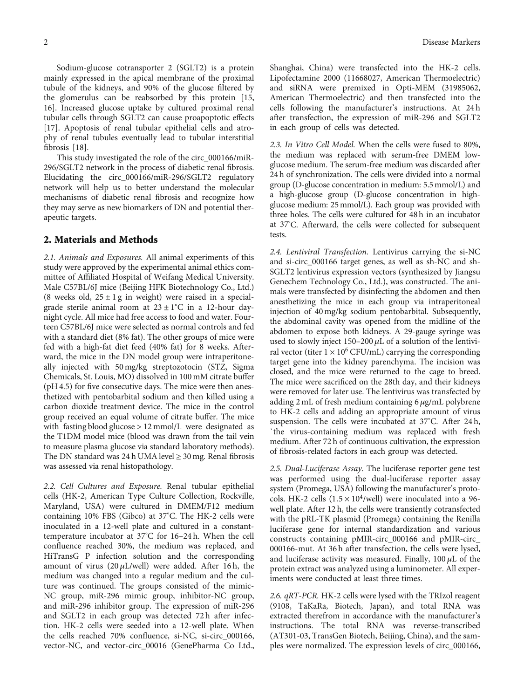Sodium-glucose cotransporter 2 (SGLT2) is a protein mainly expressed in the apical membrane of the proximal tubule of the kidneys, and 90% of the glucose filtered by the glomerulus can be reabsorbed by this protein [\[15,](#page-9-0) [16\]](#page-9-0). Increased glucose uptake by cultured proximal renal tubular cells through SGLT2 can cause proapoptotic effects [\[17](#page-9-0)]. Apoptosis of renal tubular epithelial cells and atrophy of renal tubules eventually lead to tubular interstitial fibrosis [\[18\]](#page-9-0).

This study investigated the role of the circ\_000166/miR-296/SGLT2 network in the process of diabetic renal fibrosis. Elucidating the circ\_000166/miR-296/SGLT2 regulatory network will help us to better understand the molecular mechanisms of diabetic renal fibrosis and recognize how they may serve as new biomarkers of DN and potential therapeutic targets.

### 2. Materials and Methods

2.1. Animals and Exposures. All animal experiments of this study were approved by the experimental animal ethics committee of Affiliated Hospital of Weifang Medical University. Male C57BL/6J mice (Beijing HFK Biotechnology Co., Ltd.) (8 weeks old,  $25 \pm 1$  g in weight) were raised in a specialgrade sterile animal room at  $23 \pm 1^{\circ}$ C in a 12-hour daynight cycle. All mice had free access to food and water. Fourteen C57BL/6J mice were selected as normal controls and fed with a standard diet (8% fat). The other groups of mice were fed with a high-fat diet feed (40% fat) for 8 weeks. Afterward, the mice in the DN model group were intraperitoneally injected with 50 mg/kg streptozotocin (STZ, Sigma Chemicals, St. Louis, MO) dissolved in 100 mM citrate buffer (pH 4.5) for five consecutive days. The mice were then anesthetized with pentobarbital sodium and then killed using a carbon dioxide treatment device. The mice in the control group received an equal volume of citrate buffer. The mice with fasting blood glucose > 12 mmol/L were designated as the T1DM model mice (blood was drawn from the tail vein to measure plasma glucose via standard laboratory methods). The DN standard was 24 h UMA level  $\geq$  30 mg. Renal fibrosis was assessed via renal histopathology.

2.2. Cell Cultures and Exposure. Renal tubular epithelial cells (HK-2, American Type Culture Collection, Rockville, Maryland, USA) were cultured in DMEM/F12 medium containing 10% FBS (Gibco) at 37° C. The HK-2 cells were inoculated in a 12-well plate and cultured in a constanttemperature incubator at 37° C for 16–24 h. When the cell confluence reached 30%, the medium was replaced, and HiTransG P infection solution and the corresponding amount of virus (20 *μ*L/well) were added. After 16 h, the medium was changed into a regular medium and the culture was continued. The groups consisted of the mimic-NC group, miR-296 mimic group, inhibitor-NC group, and miR-296 inhibitor group. The expression of miR-296 and SGLT2 in each group was detected 72h after infection. HK-2 cells were seeded into a 12-well plate. When the cells reached 70% confluence, si-NC, si-circ\_000166, vector-NC, and vector-circ\_00016 (GenePharma Co Ltd., Shanghai, China) were transfected into the HK-2 cells. Lipofectamine 2000 (11668027, American Thermoelectric) and siRNA were premixed in Opti-MEM (31985062, American Thermoelectric) and then transfected into the cells following the manufacturer's instructions. At 24 h after transfection, the expression of miR-296 and SGLT2 in each group of cells was detected.

2.3. In Vitro Cell Model. When the cells were fused to 80%, the medium was replaced with serum-free DMEM lowglucose medium. The serum-free medium was discarded after 24 h of synchronization. The cells were divided into a normal group (D-glucose concentration in medium: 5.5 mmol/L) and a high-glucose group (D-glucose concentration in highglucose medium: 25 mmol/L). Each group was provided with three holes. The cells were cultured for 48 h in an incubator at 37° C. Afterward, the cells were collected for subsequent tests.

2.4. Lentiviral Transfection. Lentivirus carrying the si-NC and si-circ\_000166 target genes, as well as sh-NC and sh-SGLT2 lentivirus expression vectors (synthesized by Jiangsu Genechem Technology Co., Ltd.), was constructed. The animals were transfected by disinfecting the abdomen and then anesthetizing the mice in each group via intraperitoneal injection of 40 mg/kg sodium pentobarbital. Subsequently, the abdominal cavity was opened from the midline of the abdomen to expose both kidneys. A 29-gauge syringe was used to slowly inject 150–200 *μ*L of a solution of the lentiviral vector (titer  $1 \times 10^6$  CFU/mL) carrying the corresponding target gene into the kidney parenchyma. The incision was closed, and the mice were returned to the cage to breed. The mice were sacrificed on the 28th day, and their kidneys were removed for later use. The lentivirus was transfected by adding 2 mL of fresh medium containing 6 *μ*g/mL polybrene to HK-2 cells and adding an appropriate amount of virus suspension. The cells were incubated at 37° C. After 24 h, `the virus-containing medium was replaced with fresh medium. After 72 h of continuous cultivation, the expression of fibrosis-related factors in each group was detected.

2.5. Dual-Luciferase Assay. The luciferase reporter gene test was performed using the dual-luciferase reporter assay system (Promega, USA) following the manufacturer's protocols. HK-2 cells  $(1.5 \times 10^4/\text{well})$  were inoculated into a 96well plate. After 12 h, the cells were transiently cotransfected with the pRL-TK plasmid (Promega) containing the Renilla luciferase gene for internal standardization and various constructs containing pMIR-circ\_000166 and pMIR-circ\_ 000166-mut. At 36 h after transfection, the cells were lysed, and luciferase activity was measured. Finally, 100 *μ*L of the protein extract was analyzed using a luminometer. All experiments were conducted at least three times.

2.6. *qRT-PCR*. HK-2 cells were lysed with the TRIzol reagent (9108, TaKaRa, Biotech, Japan), and total RNA was extracted therefrom in accordance with the manufacturer's instructions. The total RNA was reverse-transcribed (AT301-03, TransGen Biotech, Beijing, China), and the samples were normalized. The expression levels of circ\_000166,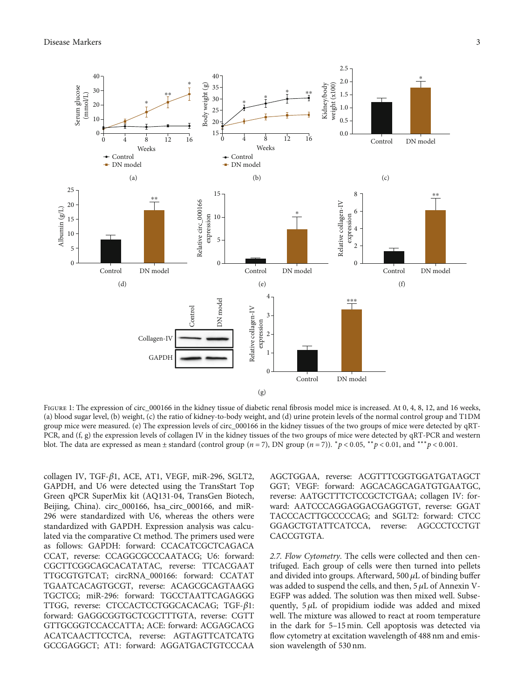<span id="page-2-0"></span>

FIGURE 1: The expression of circ\_000166 in the kidney tissue of diabetic renal fibrosis model mice is increased. At 0, 4, 8, 12, and 16 weeks, (a) blood sugar level, (b) weight, (c) the ratio of kidney-to-body weight, and (d) urine protein levels of the normal control group and T1DM group mice were measured. (e) The expression levels of circ\_000166 in the kidney tissues of the two groups of mice were detected by qRT-PCR, and (f, g) the expression levels of collagen IV in the kidney tissues of the two groups of mice were detected by qRT-PCR and western blot. The data are expressed as mean  $\pm$  standard (control group ( $n = 7$ ), DN group ( $n = 7$ )). \* $p < 0.05$ , \*\* $p < 0.01$ , and \*\*\* $p < 0.001$ .

collagen IV, TGF-*β*1, ACE, AT1, VEGF, miR-296, SGLT2, GAPDH, and U6 were detected using the TransStart Top Green qPCR SuperMix kit (AQ131-04, TransGen Biotech, Beijing, China). circ\_000166, hsa\_circ\_000166, and miR-296 were standardized with U6, whereas the others were standardized with GAPDH. Expression analysis was calculated via the comparative Ct method. The primers used were as follows: GAPDH: forward: CCACATCGCTCAGACA CCAT, reverse: CCAGGCGCCCAATACG; U6: forward: CGCTTCGGCAGCACATATAC, reverse: TTCACGAAT TTGCGTGTCAT; circRNA\_000166: forward: CCATAT TGAATCACAGTGCGT, reverse: ACAGCGCAGTAAGG TGCTCG; miR-296: forward: TGCCTAATTCAGAGGG TTGG, reverse: CTCCACTCCTGGCACACAG; TGF-*β*1: forward: GAGGCGGTGCTCGCTTTGTA, reverse: CGTT GTTGCGGTCCACCATTA; ACE: forward: ACGAGCACG ACATCAACTTCCTCA, reverse: AGTAGTTCATCATG GCCGAGGCT; AT1: forward: AGGATGACTGTCCCAA

AGCTGGAA, reverse: ACGTTTCGGTGGATGATAGCT GGT; VEGF: forward: AGCACAGCAGATGTGAATGC, reverse: AATGCTTTCTCCGCTCTGAA; collagen IV: forward: AATCCCAGGAGGACGAGGTGT, reverse: GGAT TACCCACTTGCCCCCAG; and SGLT2: forward: CTCC GGAGCTGTATTCATCCA, reverse: AGCCCTCCTGT CACCGTGTA.

2.7. Flow Cytometry. The cells were collected and then centrifuged. Each group of cells were then turned into pellets and divided into groups. Afterward, 500 *μ*L of binding buffer was added to suspend the cells, and then, 5 *μ*L of Annexin V-EGFP was added. The solution was then mixed well. Subsequently, 5 *μ*L of propidium iodide was added and mixed well. The mixture was allowed to react at room temperature in the dark for 5–15 min. Cell apoptosis was detected via flow cytometry at excitation wavelength of 488 nm and emission wavelength of 530 nm.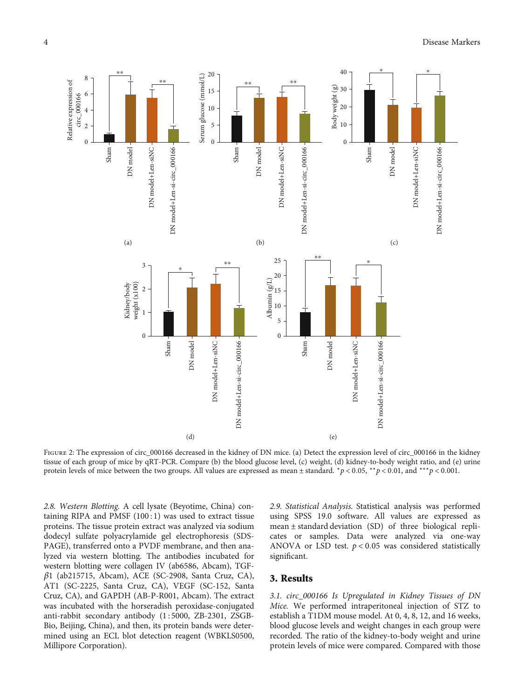

FIGURE 2: The expression of circ\_000166 decreased in the kidney of DN mice. (a) Detect the expression level of circ\_000166 in the kidney tissue of each group of mice by qRT-PCR. Compare (b) the blood glucose level, (c) weight, (d) kidney-to-body weight ratio, and (e) urine protein levels of mice between the two groups. All values are expressed as mean ± standard. <sup>∗</sup>*p* < 0*:*05, ∗∗*p* < 0*:*01, and ∗∗∗*p* < 0*:*001.

2.8. Western Blotting. A cell lysate (Beyotime, China) containing RIPA and PMSF  $(100:1)$  was used to extract tissue proteins. The tissue protein extract was analyzed via sodium dodecyl sulfate polyacrylamide gel electrophoresis (SDS-PAGE), transferred onto a PVDF membrane, and then analyzed via western blotting. The antibodies incubated for western blotting were collagen IV (ab6586, Abcam), TGF*β*1 (ab215715, Abcam), ACE (SC-2908, Santa Cruz, CA), AT1 (SC-2225, Santa Cruz, CA), VEGF (SC-152, Santa Cruz, CA), and GAPDH (AB-P-R001, Abcam). The extract was incubated with the horseradish peroxidase-conjugated anti-rabbit secondary antibody (1 : 5000, ZB-2301, ZSGB-Bio, Beijing, China), and then, its protein bands were determined using an ECL blot detection reagent (WBKLS0500, Millipore Corporation).

2.9. Statistical Analysis. Statistical analysis was performed using SPSS 19.0 software. All values are expressed as mean ± standard deviation (SD) of three biological replicates or samples. Data were analyzed via one-way ANOVA or LSD test. *p* < 0*:*05 was considered statistically significant.

### 3. Results

3.1. circ\_000166 Is Upregulated in Kidney Tissues of DN Mice. We performed intraperitoneal injection of STZ to establish a T1DM mouse model. At 0, 4, 8, 12, and 16 weeks, blood glucose levels and weight changes in each group were recorded. The ratio of the kidney-to-body weight and urine protein levels of mice were compared. Compared with those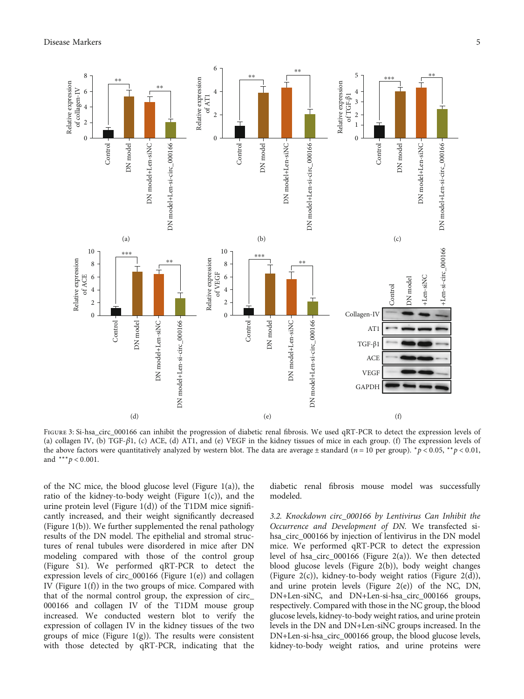

Figure 3: Si-hsa\_circ\_000166 can inhibit the progression of diabetic renal fibrosis. We used qRT-PCR to detect the expression levels of (a) collagen IV, (b) TGF-*β*1, (c) ACE, (d) AT1, and (e) VEGF in the kidney tissues of mice in each group. (f) The expression levels of the above factors were quantitatively analyzed by western blot. The data are average  $\pm$  standard (*n* = 10 per group).  $\dot{p}$  < 0.05,  $\dot{p}$  < 0.01, and ∗∗∗*p* < 0*:*001.

of the NC mice, the blood glucose level (Figure [1\(a\)\)](#page-2-0), the ratio of the kidney-to-body weight (Figure  $1(c)$ ), and the urine protein level (Figure [1\(d\)\)](#page-2-0) of the T1DM mice significantly increased, and their weight significantly decreased (Figure [1\(b\)](#page-2-0)). We further supplemented the renal pathology results of the DN model. The epithelial and stromal structures of renal tubules were disordered in mice after DN modeling compared with those of the control group (Figure [S1\)](#page-8-0). We performed qRT-PCR to detect the expression levels of circ\_000166 (Figure [1\(e\)\)](#page-2-0) and collagen IV (Figure [1\(f\)](#page-2-0)) in the two groups of mice. Compared with that of the normal control group, the expression of circ\_ 000166 and collagen IV of the T1DM mouse group increased. We conducted western blot to verify the expression of collagen IV in the kidney tissues of the two groups of mice (Figure  $1(g)$ ). The results were consistent with those detected by qRT-PCR, indicating that the diabetic renal fibrosis mouse model was successfully modeled.

3.2. Knockdown circ\_000166 by Lentivirus Can Inhibit the Occurrence and Development of DN. We transfected sihsa\_circ\_000166 by injection of lentivirus in the DN model mice. We performed qRT-PCR to detect the expression level of hsa\_circ\_000166 (Figure [2\(a\)](#page--1-0)). We then detected blood glucose levels (Figure [2\(b\)](#page--1-0)), body weight changes (Figure [2\(c\)\)](#page--1-0), kidney-to-body weight ratios (Figure [2\(d\)](#page--1-0)), and urine protein levels (Figure  $2(e)$ ) of the NC, DN, DN+Len-siNC, and DN+Len-si-hsa\_circ\_000166 groups, respectively. Compared with those in the NC group, the blood glucose levels, kidney-to-body weight ratios, and urine protein levels in the DN and DN+Len-siNC groups increased. In the DN+Len-si-hsa\_circ\_000166 group, the blood glucose levels, kidney-to-body weight ratios, and urine proteins were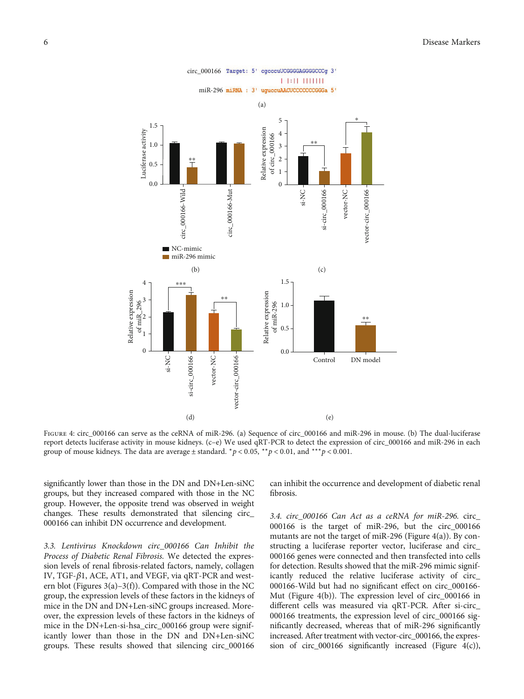

FIGURE 4: circ\_000166 can serve as the ceRNA of miR-296. (a) Sequence of circ\_000166 and miR-296 in mouse. (b) The dual-luciferase report detects luciferase activity in mouse kidneys. (c–e) We used qRT-PCR to detect the expression of circ\_000166 and miR-296 in each group of mouse kidneys. The data are average  $\pm$  standard.  $*p < 0.05$ ,  $*p < 0.01$ , and  $**p < 0.001$ .

significantly lower than those in the DN and DN+Len-siNC groups, but they increased compared with those in the NC group. However, the opposite trend was observed in weight changes. These results demonstrated that silencing circ\_ 000166 can inhibit DN occurrence and development.

3.3. Lentivirus Knockdown circ\_000166 Can Inhibit the Process of Diabetic Renal Fibrosis. We detected the expression levels of renal fibrosis-related factors, namely, collagen IV, TGF-*β*1, ACE, AT1, and VEGF, via qRT-PCR and western blot (Figures  $3(a)-3(f)$ ). Compared with those in the NC group, the expression levels of these factors in the kidneys of mice in the DN and DN+Len-siNC groups increased. Moreover, the expression levels of these factors in the kidneys of mice in the DN+Len-si-hsa\_circ\_000166 group were significantly lower than those in the DN and DN+Len-siNC groups. These results showed that silencing circ\_000166

can inhibit the occurrence and development of diabetic renal fibrosis.

3.4. circ\_000166 Can Act as a ceRNA for miR-296. circ\_ 000166 is the target of miR-296, but the circ\_000166 mutants are not the target of miR-296 (Figure [4\(a\)\)](#page--1-0). By constructing a luciferase reporter vector, luciferase and circ\_ 000166 genes were connected and then transfected into cells for detection. Results showed that the miR-296 mimic significantly reduced the relative luciferase activity of circ\_ 000166-Wild but had no significant effect on circ\_000166- Mut (Figure [4\(b\)\)](#page--1-0). The expression level of circ\_000166 in different cells was measured via qRT-PCR. After si-circ\_ 000166 treatments, the expression level of circ\_000166 significantly decreased, whereas that of miR-296 significantly increased. After treatment with vector-circ\_000166, the expression of circ\_000166 significantly increased (Figure [4\(c\)\)](#page--1-0),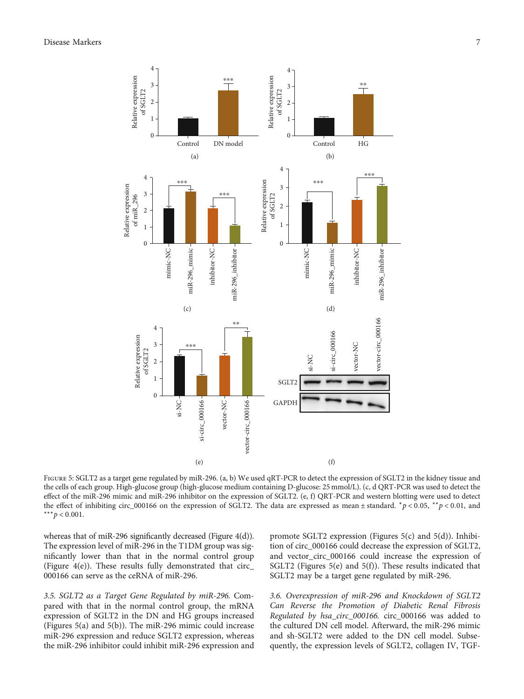

FIGURE 5: SGLT2 as a target gene regulated by miR-296. (a, b) We used qRT-PCR to detect the expression of SGLT2 in the kidney tissue and the cells of each group. High-glucose group (high-glucose medium containing D-glucose: 25 mmol/L). (c, d QRT-PCR was used to detect the effect of the miR-296 mimic and miR-296 inhibitor on the expression of SGLT2. (e, f) QRT-PCR and western blotting were used to detect the effect of inhibiting circ\_000166 on the expression of SGLT2. The data are expressed as mean ± standard. <sup>∗</sup>*p* < 0*:*05, ∗∗*p* < 0*:*01, and ∗∗∗*p* < 0*:*001.

whereas that of miR-296 significantly decreased (Figure [4\(d\)\)](#page--1-0). The expression level of miR-296 in the T1DM group was significantly lower than that in the normal control group (Figure  $4(e)$ ). These results fully demonstrated that circ 000166 can serve as the ceRNA of miR-296.

3.5. SGLT2 as a Target Gene Regulated by miR-296. Compared with that in the normal control group, the mRNA expression of SGLT2 in the DN and HG groups increased (Figures [5\(a\)](#page--1-0) and [5\(b\)\)](#page--1-0). The miR-296 mimic could increase miR-296 expression and reduce SGLT2 expression, whereas the miR-296 inhibitor could inhibit miR-296 expression and

promote SGLT2 expression (Figures [5\(c\)](#page--1-0) and [5\(d\)](#page--1-0)). Inhibition of circ\_000166 could decrease the expression of SGLT2, and vector\_circ\_000166 could increase the expression of SGLT2 (Figures [5\(e\)](#page--1-0) and [5\(f\)\)](#page--1-0). These results indicated that SGLT2 may be a target gene regulated by miR-296.

3.6. Overexpression of miR-296 and Knockdown of SGLT2 Can Reverse the Promotion of Diabetic Renal Fibrosis Regulated by hsa\_circ\_000166. circ\_000166 was added to the cultured DN cell model. Afterward, the miR-296 mimic and sh-SGLT2 were added to the DN cell model. Subsequently, the expression levels of SGLT2, collagen IV, TGF-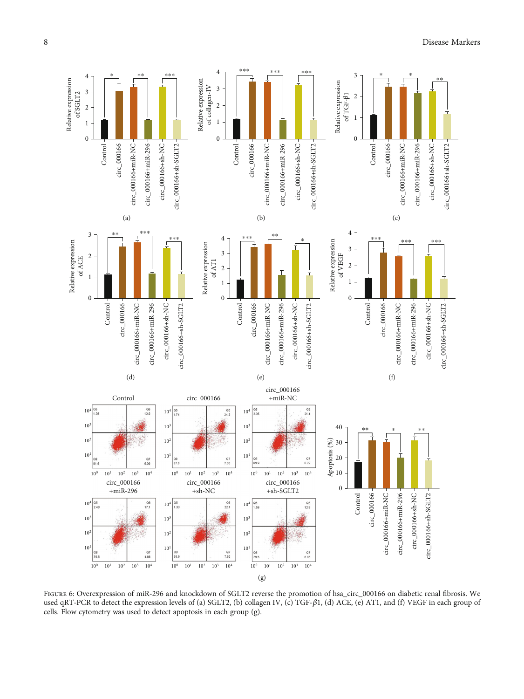

FIGURE 6: Overexpression of miR-296 and knockdown of SGLT2 reverse the promotion of hsa\_circ\_000166 on diabetic renal fibrosis. We used qRT-PCR to detect the expression levels of (a) SGLT2, (b) collagen IV, (c) TGF-β1, (d) ACE, (e) AT1, and (f) VEGF in each group of cells. Flow cytometry was used to detect apoptosis in each group (g).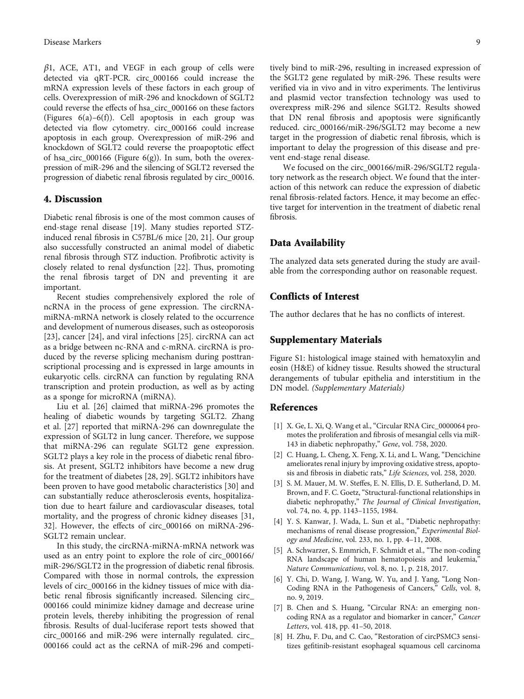<span id="page-8-0"></span>*β*1, ACE, AT1, and VEGF in each group of cells were detected via qRT-PCR. circ\_000166 could increase the mRNA expression levels of these factors in each group of cells. Overexpression of miR-296 and knockdown of SGLT2 could reverse the effects of hsa\_circ\_000166 on these factors (Figures  $6(a) - 6(f)$  $6(a) - 6(f)$ ). Cell apoptosis in each group was detected via flow cytometry. circ\_000166 could increase apoptosis in each group. Overexpression of miR-296 and knockdown of SGLT2 could reverse the proapoptotic effect of hsa\_circ\_000166 (Figure  $6(g)$ ). In sum, both the overexpression of miR-296 and the silencing of SGLT2 reversed the progression of diabetic renal fibrosis regulated by circ\_00016.

## 4. Discussion

Diabetic renal fibrosis is one of the most common causes of end-stage renal disease [[19](#page-9-0)]. Many studies reported STZinduced renal fibrosis in C57BL/6 mice [[20, 21](#page-9-0)]. Our group also successfully constructed an animal model of diabetic renal fibrosis through STZ induction. Profibrotic activity is closely related to renal dysfunction [[22](#page-9-0)]. Thus, promoting the renal fibrosis target of DN and preventing it are important.

Recent studies comprehensively explored the role of ncRNA in the process of gene expression. The circRNAmiRNA-mRNA network is closely related to the occurrence and development of numerous diseases, such as osteoporosis [\[23](#page-9-0)], cancer [\[24\]](#page-9-0), and viral infections [\[25\]](#page-9-0). circRNA can act as a bridge between nc-RNA and c-mRNA. circRNA is produced by the reverse splicing mechanism during posttranscriptional processing and is expressed in large amounts in eukaryotic cells. circRNA can function by regulating RNA transcription and protein production, as well as by acting as a sponge for microRNA (miRNA).

Liu et al. [\[26](#page-9-0)] claimed that miRNA-296 promotes the healing of diabetic wounds by targeting SGLT2. Zhang et al. [[27](#page-9-0)] reported that miRNA-296 can downregulate the expression of SGLT2 in lung cancer. Therefore, we suppose that miRNA-296 can regulate SGLT2 gene expression. SGLT2 plays a key role in the process of diabetic renal fibrosis. At present, SGLT2 inhibitors have become a new drug for the treatment of diabetes [[28](#page-9-0), [29\]](#page-9-0). SGLT2 inhibitors have been proven to have good metabolic characteristics [\[30\]](#page-9-0) and can substantially reduce atherosclerosis events, hospitalization due to heart failure and cardiovascular diseases, total mortality, and the progress of chronic kidney diseases [\[31,](#page-9-0) [32\]](#page-9-0). However, the effects of circ\_000166 on miRNA-296- SGLT2 remain unclear.

In this study, the circRNA-miRNA-mRNA network was used as an entry point to explore the role of circ\_000166/ miR-296/SGLT2 in the progression of diabetic renal fibrosis. Compared with those in normal controls, the expression levels of circ\_000166 in the kidney tissues of mice with diabetic renal fibrosis significantly increased. Silencing circ\_ 000166 could minimize kidney damage and decrease urine protein levels, thereby inhibiting the progression of renal fibrosis. Results of dual-luciferase report tests showed that circ\_000166 and miR-296 were internally regulated. circ\_ 000166 could act as the ceRNA of miR-296 and competi-

tively bind to miR-296, resulting in increased expression of the SGLT2 gene regulated by miR-296. These results were verified via in vivo and in vitro experiments. The lentivirus and plasmid vector transfection technology was used to overexpress miR-296 and silence SGLT2. Results showed that DN renal fibrosis and apoptosis were significantly reduced. circ\_000166/miR-296/SGLT2 may become a new target in the progression of diabetic renal fibrosis, which is important to delay the progression of this disease and prevent end-stage renal disease.

We focused on the circ\_000166/miR-296/SGLT2 regulatory network as the research object. We found that the interaction of this network can reduce the expression of diabetic renal fibrosis-related factors. Hence, it may become an effective target for intervention in the treatment of diabetic renal fibrosis.

## Data Availability

The analyzed data sets generated during the study are available from the corresponding author on reasonable request.

#### Conflicts of Interest

The author declares that he has no conflicts of interest.

#### Supplementary Materials

Figure S1: histological image stained with hematoxylin and eosin (H&E) of kidney tissue. Results showed the structural derangements of tubular epithelia and interstitium in the DN model. [\(Supplementary Materials\)](https://downloads.hindawi.com/journals/dm/2022/6103086.f1.jpg)

#### References

- [1] X. Ge, L. Xi, Q. Wang et al., "Circular RNA Circ\_0000064 promotes the proliferation and fibrosis of mesangial cells via miR-143 in diabetic nephropathy," Gene, vol. 758, 2020.
- [2] C. Huang, L. Cheng, X. Feng, X. Li, and L. Wang, "Dencichine ameliorates renal injury by improving oxidative stress, apoptosis and fibrosis in diabetic rats," Life Sciences, vol. 258, 2020.
- [3] S. M. Mauer, M. W. Steffes, E. N. Ellis, D. E. Sutherland, D. M. Brown, and F. C. Goetz, "Structural-functional relationships in diabetic nephropathy," The Journal of Clinical Investigation, vol. 74, no. 4, pp. 1143–1155, 1984.
- [4] Y. S. Kanwar, J. Wada, L. Sun et al., "Diabetic nephropathy: mechanisms of renal disease progression," Experimental Biology and Medicine, vol. 233, no. 1, pp. 4–11, 2008.
- [5] A. Schwarzer, S. Emmrich, F. Schmidt et al., "The non-coding RNA landscape of human hematopoiesis and leukemia," Nature Communications, vol. 8, no. 1, p. 218, 2017.
- [6] Y. Chi, D. Wang, J. Wang, W. Yu, and J. Yang, "Long Non-Coding RNA in the Pathogenesis of Cancers," Cells, vol. 8, no. 9, 2019.
- [7] B. Chen and S. Huang, "Circular RNA: an emerging noncoding RNA as a regulator and biomarker in cancer," Cancer Letters, vol. 418, pp. 41–50, 2018.
- [8] H. Zhu, F. Du, and C. Cao, "Restoration of circPSMC3 sensitizes gefitinib-resistant esophageal squamous cell carcinoma